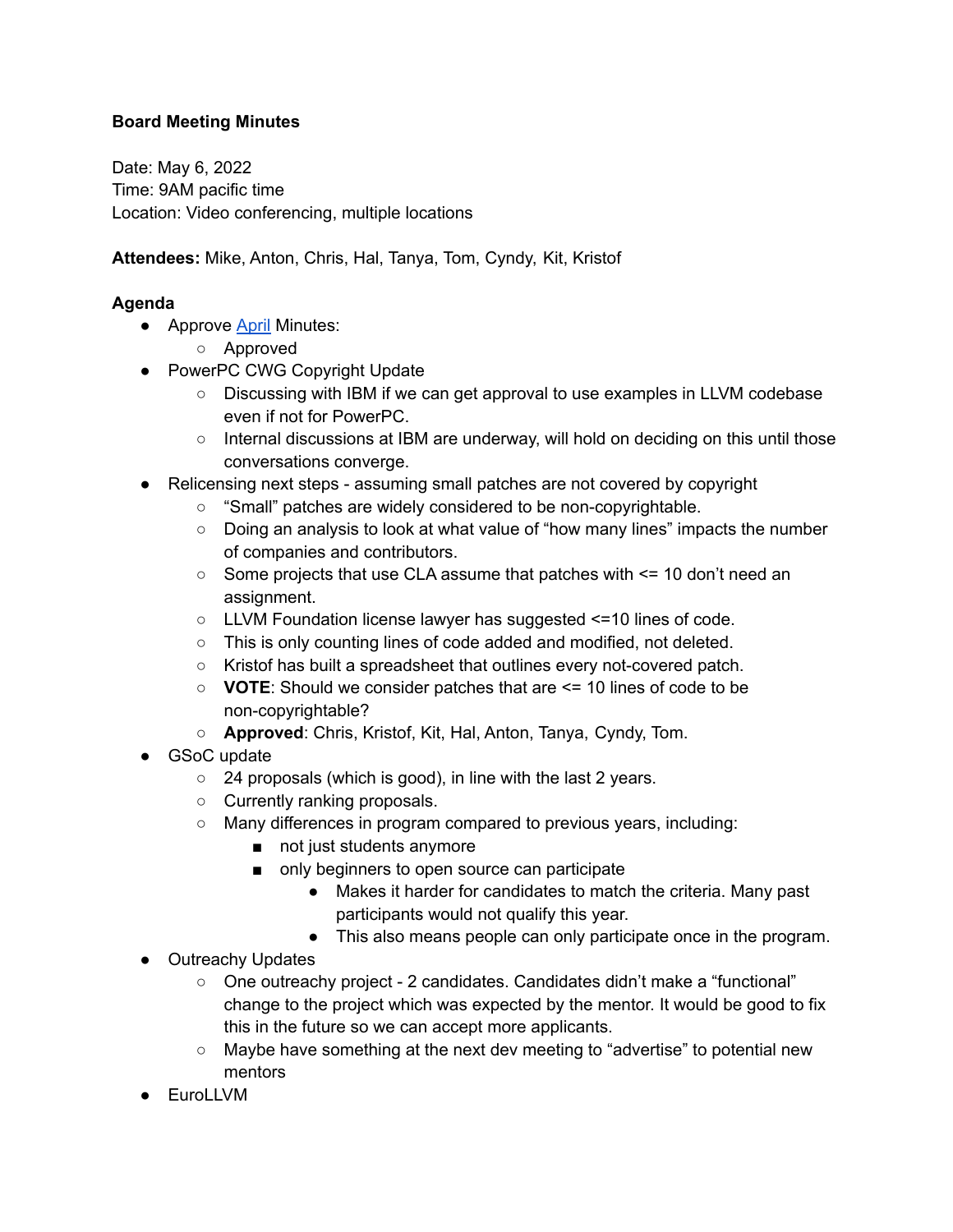## **Board Meeting Minutes**

Date: May 6, 2022 Time: 9AM pacific time Location: Video conferencing, multiple locations

**Attendees:** Mike, Anton, Chris, Hal, Tanya, Tom, Cyndy, Kit, Kristof

## **Agenda**

- Approve [April](https://foundation.llvm.org/documents/minutes/2022-04-01-Meeting-Minutes.pdf) Minutes:
	- Approved
- PowerPC CWG Copyright Update
	- Discussing with IBM if we can get approval to use examples in LLVM codebase even if not for PowerPC.
	- $\circ$  Internal discussions at IBM are underway, will hold on deciding on this until those conversations converge.
- Relicensing next steps assuming small patches are not covered by copyright
	- "Small" patches are widely considered to be non-copyrightable.
	- Doing an analysis to look at what value of "how many lines" impacts the number of companies and contributors.
	- $\circ$  Some projects that use CLA assume that patches with  $\le$  10 don't need an assignment.
	- LLVM Foundation license lawyer has suggested <=10 lines of code.
	- This is only counting lines of code added and modified, not deleted.
	- Kristof has built a spreadsheet that outlines every not-covered patch.
	- **VOTE**: Should we consider patches that are <= 10 lines of code to be non-copyrightable?
	- **Approved**: Chris, Kristof, Kit, Hal, Anton, Tanya, Cyndy, Tom.
- GSoC update
	- 24 proposals (which is good), in line with the last 2 years.
	- Currently ranking proposals.
	- Many differences in program compared to previous years, including:
		- not just students anymore
		- only beginners to open source can participate
			- Makes it harder for candidates to match the criteria. Many past participants would not qualify this year.
			- This also means people can only participate once in the program.
- Outreachy Updates
	- One outreachy project 2 candidates. Candidates didn't make a "functional" change to the project which was expected by the mentor. It would be good to fix this in the future so we can accept more applicants.
	- Maybe have something at the next dev meeting to "advertise" to potential new mentors
- EuroLLVM